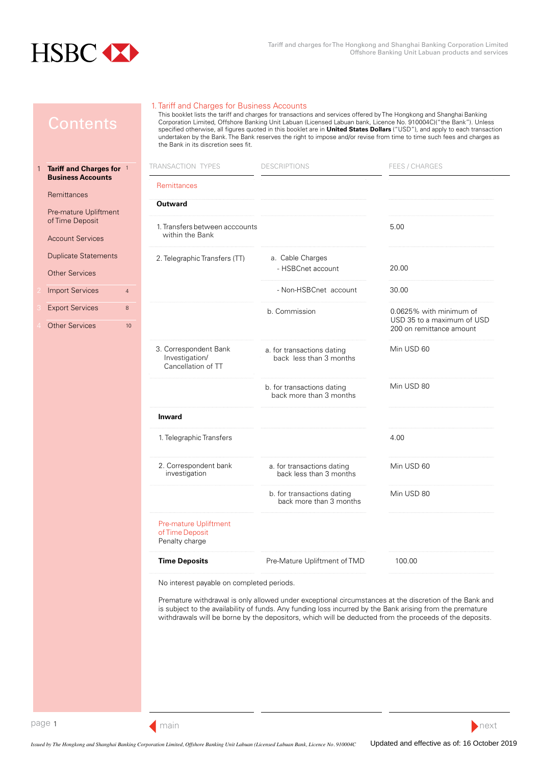<span id="page-0-0"></span>

1

1. Tariff and Charges for Business Accounts

This booklet lists the tariff and charges for transactions and services offered by The Hongkong and Shanghai Banking Corporation Limited, Offshore Banking Unit Labuan (Licensed Labuan bank, Licence No. 910004C)("the Bank"). Unless specified otherwise, all figures quoted in this booklet are in **United States Dollars** ("USD"), and apply to each transaction undertaken by the Bank. The Bank reserves the right to impose and/or revise from time to time such fees and charges as the Bank in its discretion sees fit.

| Tariff and Charges for 1                             | <b>TRANSACTION TYPES</b>                                      | <b>DESCRIPTIONS</b>                                   | <b>FEES / CHARGES</b>                                                             |
|------------------------------------------------------|---------------------------------------------------------------|-------------------------------------------------------|-----------------------------------------------------------------------------------|
| <b>Business Accounts</b><br>Remittances              | <b>Remittances</b>                                            |                                                       |                                                                                   |
| Pre-mature Upliftment                                | <b>Outward</b>                                                |                                                       |                                                                                   |
| of Time Deposit<br><b>Account Services</b>           | 1. Transfers between acccounts<br>within the Bank             |                                                       | 5.00                                                                              |
| <b>Duplicate Statements</b><br><b>Other Services</b> | 2. Telegraphic Transfers (TT)                                 | a. Cable Charges<br>- HSBCnet account                 | 20.00                                                                             |
| <b>Import Services</b><br>$\overline{4}$             |                                                               | - Non-HSBCnet account                                 | 30.00                                                                             |
| <b>Export Services</b><br>8<br><b>Other Services</b> | 10 <sup>10</sup>                                              | b. Commission                                         | 0.0625% with minimum of<br>USD 35 to a maximum of USD<br>200 on remittance amount |
|                                                      | 3. Correspondent Bank<br>Investigation/<br>Cancellation of TT | a. for transactions dating<br>back less than 3 months | Min USD 60                                                                        |
|                                                      |                                                               | b. for transactions dating<br>back more than 3 months | Min USD 80                                                                        |
|                                                      | <b>Inward</b>                                                 |                                                       |                                                                                   |
|                                                      | 1. Telegraphic Transfers                                      |                                                       | 4.00                                                                              |
|                                                      | 2. Correspondent bank<br>investigation                        | a. for transactions dating<br>back less than 3 months | Min USD 60                                                                        |
|                                                      |                                                               | b. for transactions dating<br>back more than 3 months | Min USD 80                                                                        |
|                                                      | Pre-mature Upliftment<br>of Time Deposit<br>Penalty charge    |                                                       |                                                                                   |
|                                                      | <b>Time Deposits</b>                                          | Pre-Mature Upliftment of TMD                          | 100.00                                                                            |
|                                                      |                                                               |                                                       |                                                                                   |

No interest payable on completed periods.

Premature withdrawal is only allowed under exceptional circumstances at the discretion of the Bank and is subject to the availability of funds. Any funding loss incurred by the Bank arising from the premature withdrawals will be borne by the depositors, which will be deducted from the proceeds of the deposits.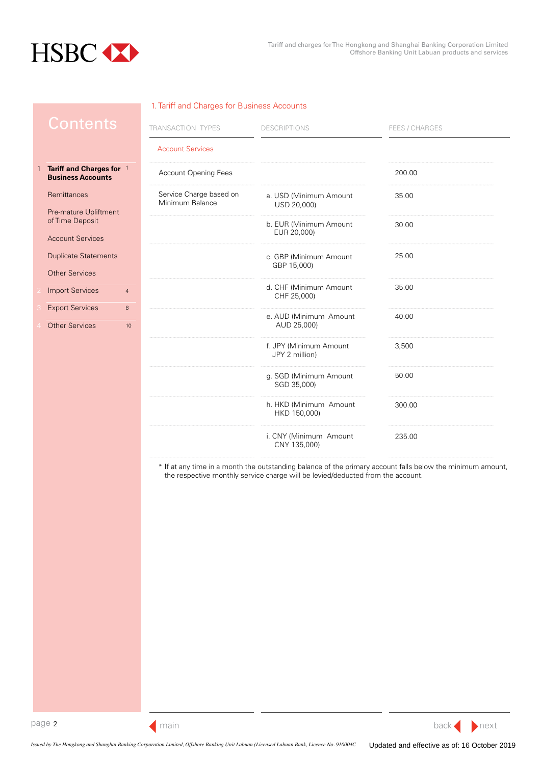<span id="page-1-0"></span>

1

### 1. Tariff and Charges for Business Accounts

| Jontents                                             | TRANSACTION TYPES                          | <b>DESCRIPTIONS</b>                      | FEES / CHARGES |  |
|------------------------------------------------------|--------------------------------------------|------------------------------------------|----------------|--|
|                                                      | <b>Account Services</b>                    |                                          |                |  |
| Tariff and Charges for 1<br><b>Business Accounts</b> | <b>Account Opening Fees</b>                |                                          | 200.00         |  |
| Remittances                                          | Service Charge based on<br>Minimum Balance | a. USD (Minimum Amount<br>USD 20,000)    | 35.00          |  |
| Pre-mature Upliftment<br>of Time Deposit             |                                            | b. EUR (Minimum Amount<br>EUR 20,000)    | 30.00          |  |
| <b>Account Services</b>                              |                                            |                                          |                |  |
| <b>Duplicate Statements</b>                          |                                            | c. GBP (Minimum Amount<br>GBP 15,000)    | 25.00          |  |
| <b>Other Services</b>                                |                                            |                                          |                |  |
| <b>Import Services</b><br>$\overline{4}$             |                                            | d. CHF (Minimum Amount<br>CHF 25,000)    | 35.00          |  |
| <b>Export Services</b><br>$\bf 8$                    |                                            | e. AUD (Minimum Amount                   | 40.00          |  |
| <b>Other Services</b><br>10                          |                                            | AUD 25,000)                              |                |  |
|                                                      |                                            | f. JPY (Minimum Amount<br>JPY 2 million) | 3,500          |  |
|                                                      |                                            | g. SGD (Minimum Amount<br>SGD 35,000)    | 50.00          |  |
|                                                      |                                            | h. HKD (Minimum Amount<br>HKD 150,000)   | 300.00         |  |
|                                                      |                                            | i. CNY (Minimum Amount<br>CNY 135,000)   | 235.00         |  |

\* If at any time in a month the outstanding balance of the primary account falls below the minimum amount, the respective monthly service charge will be levied/deducted from the account.



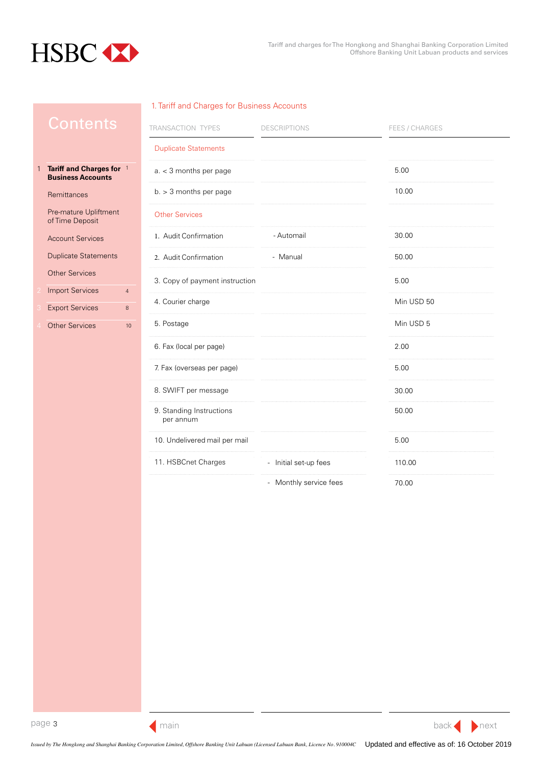<span id="page-2-0"></span>

# 1. Tariff and Charges for Business Accounts

|   | ontents                                                                       | TRANSACTION TYPES                     | <b>DESCRIPTIONS</b>    | FEES / CHARGES |
|---|-------------------------------------------------------------------------------|---------------------------------------|------------------------|----------------|
|   |                                                                               | <b>Duplicate Statements</b>           |                        |                |
| 1 | Tariff and Charges for 1<br><b>Business Accounts</b>                          | $a. < 3$ months per page              |                        | 5.00           |
|   | Remittances                                                                   | $b. > 3$ months per page              |                        | 10.00          |
|   | Pre-mature Upliftment<br>of Time Deposit                                      | <b>Other Services</b>                 |                        |                |
|   | <b>Account Services</b>                                                       | 1. Audit Confirmation                 | - Automail             | 30.00          |
|   | <b>Duplicate Statements</b>                                                   | 2. Audit Confirmation                 | - Manual               | 50.00          |
|   | <b>Other Services</b>                                                         | 3. Copy of payment instruction        |                        | 5.00           |
|   | <b>Import Services</b><br>$\overline{4}$<br><b>Export Services</b><br>$\bf 8$ | 4. Courier charge                     |                        | Min USD 50     |
|   | <b>Other Services</b><br>10                                                   | 5. Postage                            |                        | Min USD 5      |
|   |                                                                               | 6. Fax (local per page)               |                        | 2.00           |
|   |                                                                               | 7. Fax (overseas per page)            |                        | 5.00           |
|   |                                                                               | 8. SWIFT per message                  |                        | 30.00          |
|   |                                                                               | 9. Standing Instructions<br>per annum |                        | 50.00          |
|   |                                                                               | 10. Undelivered mail per mail         |                        | 5.00           |
|   |                                                                               | 11. HSBCnet Charges                   | - Initial set-up fees  | 110.00         |
|   |                                                                               |                                       | - Monthly service fees | 70.00          |

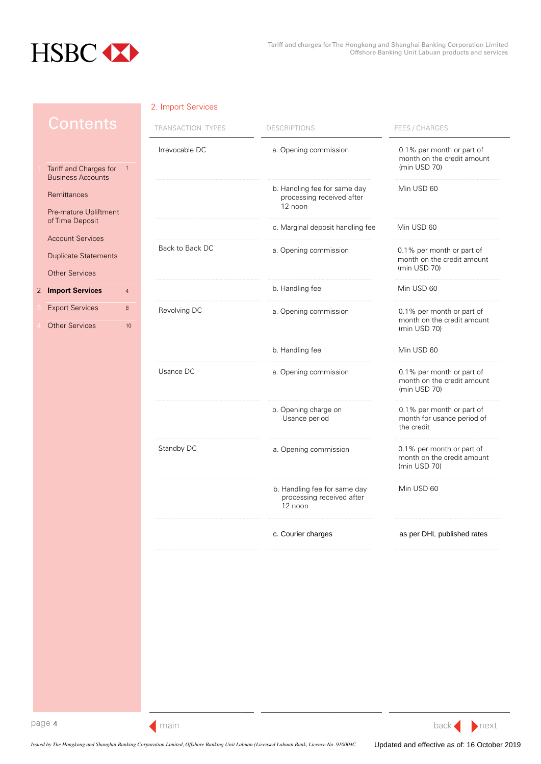<span id="page-3-0"></span>

|                                                    |                | I KANSAC HUN        |
|----------------------------------------------------|----------------|---------------------|
|                                                    |                | Irrevocable D       |
| Tariff and Charges for<br><b>Business Accounts</b> | 1              |                     |
| Remittances                                        |                |                     |
| Pre-mature Upliftment<br>of Time Deposit           |                |                     |
| <b>Account Services</b>                            |                |                     |
| <b>Duplicate Statements</b>                        |                | <b>Back to Back</b> |
| <b>Other Services</b>                              |                |                     |
| <b>Import Services</b>                             | $\overline{4}$ |                     |
| <b>Export Services</b>                             | 8              | Revolving DC        |
| <b>Other Services</b>                              | 10             |                     |
|                                                    |                |                     |
|                                                    |                | Usance DC           |
|                                                    |                |                     |
|                                                    |                |                     |
|                                                    |                |                     |
|                                                    |                |                     |

| TRANSACTION TYPES | <b>DESCRIPTIONS</b>                                                  | <b>FEES / CHARGES</b>                                                   |
|-------------------|----------------------------------------------------------------------|-------------------------------------------------------------------------|
| Irrevocable DC    | a. Opening commission                                                | 0.1% per month or part of<br>month on the credit amount<br>(min USD 70) |
|                   | b. Handling fee for same day<br>processing received after<br>12 noon | Min USD 60                                                              |
|                   | c. Marginal deposit handling fee                                     | Min USD 60                                                              |
| Back to Back DC   | a. Opening commission                                                | 0.1% per month or part of<br>month on the credit amount<br>(min USD 70) |
|                   | b. Handling fee                                                      | Min USD 60                                                              |
| Revolving DC      | a. Opening commission                                                | 0.1% per month or part of<br>month on the credit amount<br>(min USD 70) |
|                   | b. Handling fee                                                      | Min USD 60                                                              |
| Usance DC         | a. Opening commission                                                | 0.1% per month or part of<br>month on the credit amount<br>(min USD 70) |
|                   | b. Opening charge on<br>Usance period                                | 0.1% per month or part of<br>month for usance period of<br>the credit   |
| Standby DC        | a. Opening commission                                                | 0.1% per month or part of<br>month on the credit amount<br>(min USD 70) |
|                   | b. Handling fee for same day<br>processing received after<br>12 noon | Min USD 60                                                              |
|                   | c. Courier charges                                                   | as per DHL published rates                                              |



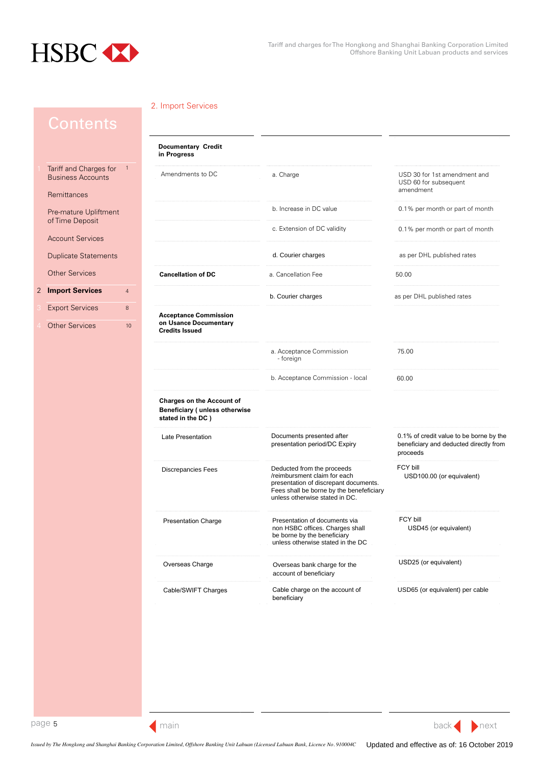<span id="page-4-0"></span>

|                                                    |                | <b>Documentary Credit</b><br>in Progress                                               |                                                                                                                                                                                   |                                                                                               |
|----------------------------------------------------|----------------|----------------------------------------------------------------------------------------|-----------------------------------------------------------------------------------------------------------------------------------------------------------------------------------|-----------------------------------------------------------------------------------------------|
| Tariff and Charges for<br><b>Business Accounts</b> | $\overline{1}$ | Amendments to DC                                                                       | a. Charge                                                                                                                                                                         | USD 30 for 1st amendment and<br>USD 60 for subsequent<br>amendment                            |
| Remittances                                        |                |                                                                                        |                                                                                                                                                                                   |                                                                                               |
| Pre-mature Upliftment<br>of Time Deposit           |                |                                                                                        | b. Increase in DC value                                                                                                                                                           | 0.1% per month or part of month                                                               |
| <b>Account Services</b>                            |                |                                                                                        | c. Extension of DC validity                                                                                                                                                       | 0.1% per month or part of month                                                               |
| <b>Duplicate Statements</b>                        |                |                                                                                        | d. Courier charges                                                                                                                                                                | as per DHL published rates                                                                    |
| <b>Other Services</b>                              |                | <b>Cancellation of DC</b>                                                              | a. Cancellation Fee                                                                                                                                                               | 50.00                                                                                         |
| <b>Import Services</b>                             | $\overline{4}$ |                                                                                        | b. Courier charges                                                                                                                                                                | as per DHL published rates                                                                    |
| <b>Export Services</b>                             | $\bf 8$        |                                                                                        |                                                                                                                                                                                   |                                                                                               |
| <b>Other Services</b>                              | 10             | <b>Acceptance Commission</b><br>on Usance Documentary<br><b>Credits Issued</b>         |                                                                                                                                                                                   |                                                                                               |
|                                                    |                |                                                                                        | a. Acceptance Commission<br>- foreign                                                                                                                                             | 75.00                                                                                         |
|                                                    |                |                                                                                        | b. Acceptance Commission - local                                                                                                                                                  | 60.00                                                                                         |
|                                                    |                | <b>Charges on the Account of</b><br>Beneficiary (unless otherwise<br>stated in the DC) |                                                                                                                                                                                   |                                                                                               |
|                                                    |                | Late Presentation                                                                      | Documents presented after<br>presentation period/DC Expiry                                                                                                                        | 0.1% of credit value to be borne by the<br>beneficiary and deducted directly from<br>proceeds |
|                                                    |                | Discrepancies Fees                                                                     | Deducted from the proceeds<br>/reimbursment claim for each<br>presentation of discrepant documents.<br>Fees shall be borne by the benefeficiary<br>unless otherwise stated in DC. | FCY bill<br>USD100.00 (or equivalent)                                                         |
|                                                    |                | <b>Presentation Charge</b>                                                             | Presentation of documents via<br>non HSBC offices. Charges shall<br>be borne by the beneficiary<br>unless otherwise stated in the DC                                              | FCY bill<br>USD45 (or equivalent)                                                             |
|                                                    |                | Overseas Charge                                                                        | Overseas bank charge for the<br>account of beneficiary                                                                                                                            | USD25 (or equivalent)                                                                         |
|                                                    |                | Cable/SWIFT Charges                                                                    | Cable charge on the account of                                                                                                                                                    | USD65 (or equivalent) per cable                                                               |

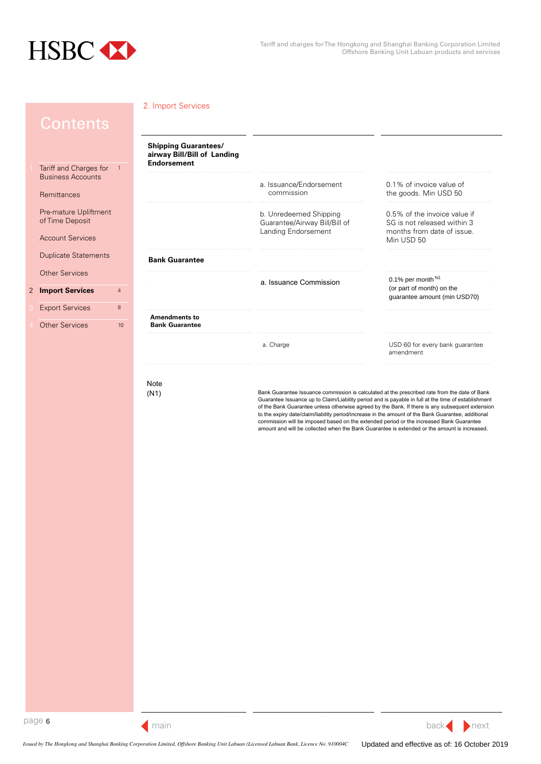



# Note

(N1) Bank Guarantee Issuance commission is calculated at the prescribed rate from the date of Bank Guarantee Issuance up to Claim/Liability period and is payable in full at the time of establishment of the Bank Guarantee unless otherwise agreed by the Bank. If there is any subsequent extension to the expiry date/claim/liability period/increase in the amount of the Bank Guarantee, additional commission will be imposed based on the extended period or the increased Bank Guarantee amount and will be collected when the Bank Guarantee is extended or the amount is increased.

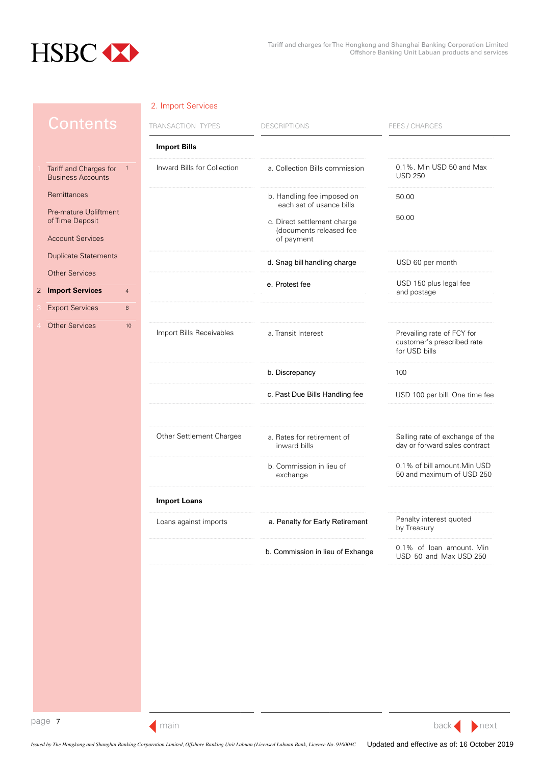<span id="page-6-0"></span>

| <u>Contents</u>                                    |                | TRANSACTION TYPES           | <b>DESCRIPTIONS</b>                                    | <b>FEES / CHARGES</b>                                                     |
|----------------------------------------------------|----------------|-----------------------------|--------------------------------------------------------|---------------------------------------------------------------------------|
|                                                    |                | <b>Import Bills</b>         |                                                        |                                                                           |
| Tariff and Charges for<br><b>Business Accounts</b> | $\overline{1}$ | Inward Bills for Collection | a. Collection Bills commission                         | 0.1%. Min USD 50 and Max<br><b>USD 250</b>                                |
| Remittances                                        |                |                             | b. Handling fee imposed on<br>each set of usance bills | 50.00                                                                     |
| Pre-mature Upliftment<br>of Time Deposit           |                |                             | c. Direct settlement charge                            | 50.00                                                                     |
| <b>Account Services</b>                            |                |                             | (documents released fee<br>of payment                  |                                                                           |
| <b>Duplicate Statements</b>                        |                |                             | d. Snag bill handling charge                           | USD 60 per month                                                          |
| <b>Other Services</b>                              |                |                             |                                                        |                                                                           |
| <b>Import Services</b>                             | $\overline{4}$ |                             | e. Protest fee                                         | USD 150 plus legal fee<br>and postage                                     |
| <b>Export Services</b>                             | 8              |                             |                                                        |                                                                           |
| <b>Other Services</b>                              | $10$           | Import Bills Receivables    | a. Transit Interest                                    | Prevailing rate of FCY for<br>customer's prescribed rate<br>for USD bills |
|                                                    |                |                             | b. Discrepancy                                         | 100                                                                       |
|                                                    |                |                             | c. Past Due Bills Handling fee                         | USD 100 per bill. One time fee                                            |
|                                                    |                | Other Settlement Charges    | a. Rates for retirement of<br>inward bills             | Selling rate of exchange of the<br>day or forward sales contract          |
|                                                    |                |                             | b. Commission in lieu of<br>exchange                   | 0.1% of bill amount. Min USD<br>50 and maximum of USD 250                 |
|                                                    |                | <b>Import Loans</b>         |                                                        |                                                                           |
|                                                    |                | Loans against imports       | a. Penalty for Early Retirement                        | Penalty interest quoted<br>by Treasury                                    |
|                                                    |                |                             | b. Commission in lieu of Exhange                       | 0.1% of loan amount. Min<br>USD 50 and Max USD 250                        |
|                                                    |                |                             |                                                        |                                                                           |

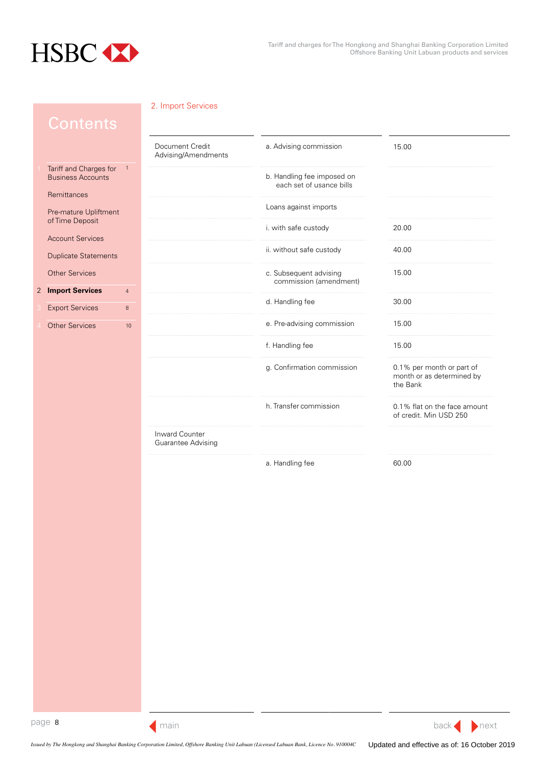<span id="page-7-0"></span>

|                                                    |                | Document Credit<br>Advising/Amendments | a. Advising commission                                 | 15.00                                                              |
|----------------------------------------------------|----------------|----------------------------------------|--------------------------------------------------------|--------------------------------------------------------------------|
| Tariff and Charges for<br><b>Business Accounts</b> | $\overline{1}$ |                                        | b. Handling fee imposed on<br>each set of usance bills |                                                                    |
| Remittances                                        |                |                                        |                                                        |                                                                    |
| Pre-mature Upliftment<br>of Time Deposit           |                |                                        | Loans against imports                                  |                                                                    |
| <b>Account Services</b>                            |                |                                        | i. with safe custody                                   | 20.00                                                              |
| <b>Duplicate Statements</b>                        |                |                                        | ii. without safe custody                               | 40.00                                                              |
| <b>Other Services</b>                              |                |                                        | c. Subsequent advising<br>commission (amendment)       | 15.00                                                              |
| <b>Import Services</b>                             | $\overline{4}$ |                                        |                                                        |                                                                    |
| <b>Export Services</b>                             | $\,$ 8 $\,$    |                                        | d. Handling fee                                        | 30.00                                                              |
| <b>Other Services</b>                              | $10$           |                                        | e. Pre-advising commission                             | 15.00                                                              |
|                                                    |                |                                        | f. Handling fee                                        | 15.00                                                              |
|                                                    |                |                                        | g. Confirmation commission                             | 0.1% per month or part of<br>month or as determined by<br>the Bank |
|                                                    |                |                                        | h. Transfer commission                                 | 0.1% flat on the face amount<br>of credit. Min USD 250             |
|                                                    |                | Inward Counter<br>Guarantee Advising   |                                                        |                                                                    |
|                                                    |                |                                        | a. Handling fee                                        | 60.00                                                              |
|                                                    |                |                                        |                                                        |                                                                    |

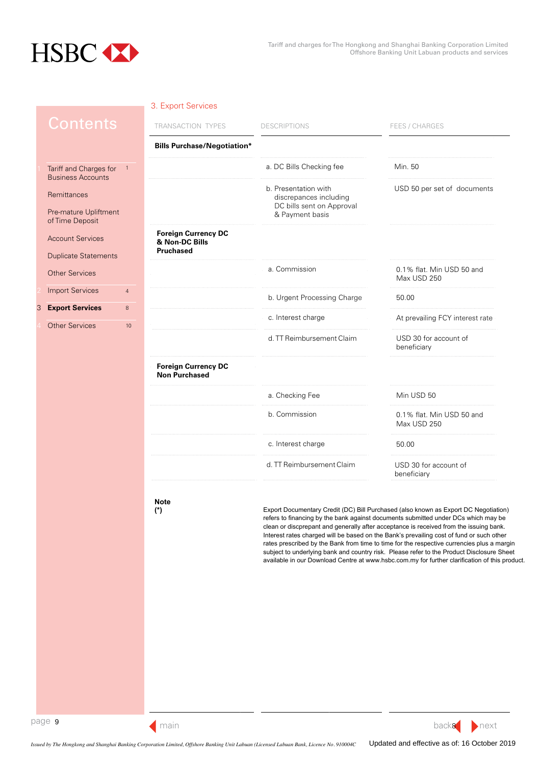<span id="page-8-0"></span>

## 3. Export Services

| Contents                                                           | TRANSACTION TYPES                                                | <b>DESCRIPTIONS</b>                                                                            | FEES / CHARGES                           |
|--------------------------------------------------------------------|------------------------------------------------------------------|------------------------------------------------------------------------------------------------|------------------------------------------|
|                                                                    | <b>Bills Purchase/Negotiation*</b>                               |                                                                                                |                                          |
| Tariff and Charges for<br>$\mathbf{1}$<br><b>Business Accounts</b> |                                                                  | a. DC Bills Checking fee                                                                       | Min. 50                                  |
| Remittances<br>Pre-mature Upliftment                               |                                                                  | b. Presentation with<br>discrepances including<br>DC bills sent on Approval<br>& Payment basis | USD 50 per set of documents              |
| of Time Deposit                                                    |                                                                  |                                                                                                |                                          |
| <b>Account Services</b><br><b>Duplicate Statements</b>             | <b>Foreign Currency DC</b><br>& Non-DC Bills<br><b>Pruchased</b> |                                                                                                |                                          |
| <b>Other Services</b>                                              |                                                                  | a. Commission                                                                                  | 0.1% flat. Min USD 50 and<br>Max USD 250 |
| <b>Import Services</b><br>$\overline{4}$                           |                                                                  | b. Urgent Processing Charge                                                                    | 50.00                                    |
| <b>Export Services</b><br>8                                        |                                                                  | c. Interest charge                                                                             | At prevailing FCY interest rate          |
| <b>Other Services</b><br>10                                        |                                                                  |                                                                                                |                                          |
|                                                                    |                                                                  | d. TT Reimbursement Claim                                                                      | USD 30 for account of<br>beneficiary     |
|                                                                    | <b>Foreign Currency DC</b><br><b>Non Purchased</b>               |                                                                                                |                                          |
|                                                                    |                                                                  | a. Checking Fee                                                                                | Min USD 50                               |
|                                                                    |                                                                  | b. Commission                                                                                  | 0.1% flat. Min USD 50 and<br>Max USD 250 |
|                                                                    |                                                                  | c. Interest charge                                                                             | 50.00                                    |
|                                                                    |                                                                  | d. TT Reimbursement Claim                                                                      | USD 30 for account of<br>beneficiary     |
|                                                                    |                                                                  |                                                                                                |                                          |

**Note (\*)**

Export Documentary Credit (DC) Bill Purchased (also known as Export DC Negotiation) refers to financing by the bank against documents submitted under DCs which may be clean or discprepant and generally after acceptance is received from the issuing bank. Interest rates charged will be based on the Bank's prevailing cost of fund or such other rates prescribed by the Bank from time to time for the respective currencies plus a margin subject to underlying bank and country risk. Please refer to the Product Disclosure Sheet available in our Download Centre at www.hsbc.com.my for further clarification of this product.

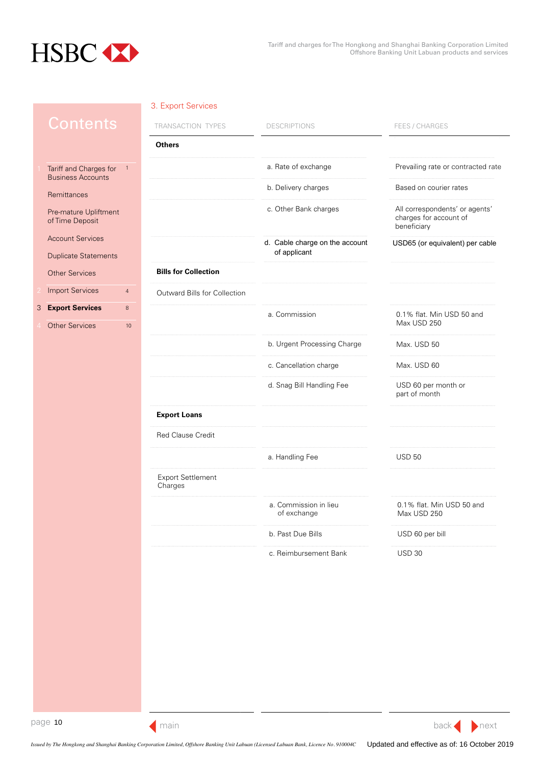<span id="page-9-0"></span>

# 3. Export Services

|   | <u>Co</u> ntents                                   |                | TRANSACTION TYPES                   | <b>DESCRIPTIONS</b>                            | FEES / CHARGES                                                          |
|---|----------------------------------------------------|----------------|-------------------------------------|------------------------------------------------|-------------------------------------------------------------------------|
|   |                                                    |                | <b>Others</b>                       |                                                |                                                                         |
|   | Tariff and Charges for<br><b>Business Accounts</b> | $\overline{1}$ |                                     | a. Rate of exchange                            | Prevailing rate or contracted rate                                      |
|   | Remittances                                        |                |                                     | b. Delivery charges                            | Based on courier rates                                                  |
|   | Pre-mature Upliftment<br>of Time Deposit           |                |                                     | c. Other Bank charges                          | All correspondents' or agents'<br>charges for account of<br>beneficiary |
|   | <b>Account Services</b>                            |                |                                     | d. Cable charge on the account<br>of applicant | USD65 (or equivalent) per cable                                         |
|   | <b>Duplicate Statements</b>                        |                | <b>Bills for Collection</b>         |                                                |                                                                         |
|   | <b>Other Services</b><br><b>Import Services</b>    |                |                                     |                                                |                                                                         |
|   |                                                    | 4              | Outward Bills for Collection        |                                                |                                                                         |
| 3 | <b>Export Services</b><br><b>Other Services</b>    | 8<br>$10$      |                                     | a. Commission                                  | 0.1% flat. Min USD 50 and<br>Max USD 250                                |
|   |                                                    |                |                                     | b. Urgent Processing Charge                    | Max. USD 50                                                             |
|   |                                                    |                |                                     | c. Cancellation charge                         | Max. USD 60                                                             |
|   |                                                    |                |                                     | d. Snag Bill Handling Fee                      | USD 60 per month or<br>part of month                                    |
|   |                                                    |                | <b>Export Loans</b>                 |                                                |                                                                         |
|   |                                                    |                | <b>Red Clause Credit</b>            |                                                |                                                                         |
|   |                                                    |                |                                     | a. Handling Fee                                | <b>USD 50</b>                                                           |
|   |                                                    |                | <b>Export Settlement</b><br>Charges |                                                |                                                                         |
|   |                                                    |                |                                     | a. Commission in lieu<br>of exchange           | 0.1% flat. Min USD 50 and<br>Max USD 250                                |
|   |                                                    |                |                                     | b. Past Due Bills                              | USD 60 per bill                                                         |
|   |                                                    |                |                                     | c. Reimbursement Bank                          | <b>USD 30</b>                                                           |
|   |                                                    |                |                                     |                                                |                                                                         |
|   |                                                    |                |                                     |                                                |                                                                         |
|   |                                                    |                |                                     |                                                |                                                                         |
|   |                                                    |                |                                     |                                                |                                                                         |
|   |                                                    |                |                                     |                                                |                                                                         |